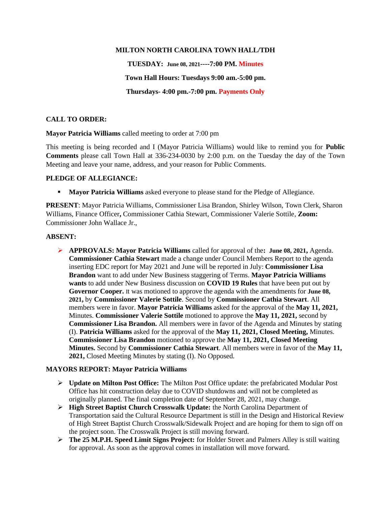## **MILTON NORTH CAROLINA TOWN HALL/TDH**

**TUESDAY: June 08, 2021----7:00 PM. Minutes Town Hall Hours: Tuesdays 9:00 am.-5:00 pm. Thursdays- 4:00 pm.-7:00 pm. Payments Only**

# **CALL TO ORDER:**

**Mayor Patricia Williams** called meeting to order at 7:00 pm

This meeting is being recorded and I (Mayor Patricia Williams) would like to remind you for **Public Comments** please call Town Hall at 336-234-0030 by 2:00 p.m. on the Tuesday the day of the Town Meeting and leave your name, address, and your reason for Public Comments.

## **PLEDGE OF ALLEGIANCE:**

**• Mayor Patricia Williams** asked everyone to please stand for the Pledge of Allegiance.

**PRESENT**: Mayor Patricia Williams, Commissioner Lisa Brandon, Shirley Wilson, Town Clerk, Sharon Williams, Finance Officer**,** Commissioner Cathia Stewart, Commissioner Valerie Sottile, **Zoom:** Commissioner John Wallace Jr.,

## **ABSENT:**

➢ **APPROVALS: Mayor Patricia Williams** called for approval of the**: June 08, 2021,** Agenda. **Commissioner Cathia Stewart** made a change under Council Members Report to the agenda inserting EDC report for May 2021 and June will be reported in July: **Commissioner Lisa Brandon** want to add under New Business staggering of Terms. **Mayor Patricia Williams wants** to add under New Business discussion on **COVID 19 Rules** that have been put out by **Governor Cooper.** It was motioned to approve the agenda with the amendments for **June 08, 2021,** by **Commissioner Valerie Sottile**. Second by **Commissioner Cathia Stewart**. All members were in favor. **Mayor Patricia Williams** asked for the approval of the **May 11, 2021,**  Minutes. **Commissioner Valerie Sottile** motioned to approve the **May 11, 2021,** second by **Commissioner Lisa Brandon.** All members were in favor of the Agenda and Minutes by stating (I). **Patricia Williams** asked for the approval of the **May 11, 2021, Closed Meeting,** Minutes. **Commissioner Lisa Brandon** motioned to approve the **May 11, 2021, Closed Meeting Minutes.** Second by **Commissioner Cathia Stewart**. All members were in favor of the **May 11, 2021,** Closed Meeting Minutes by stating (I). No Opposed.

## **MAYORS REPORT: Mayor Patricia Williams**

- ➢ **Update on Milton Post Office:** The Milton Post Office update: the prefabricated Modular Post Office has hit construction delay due to COVID shutdowns and will not be completed as originally planned. The final completion date of September 28, 2021, may change.
- ➢ **High Street Baptist Church Crosswalk Update:** the North Carolina Department of Transportation said the Cultural Resource Department is still in the Design and Historical Review of High Street Baptist Church Crosswalk/Sidewalk Project and are hoping for them to sign off on the project soon. The Crosswalk Project is still moving forward.
- ➢ **The 25 M.P.H. Speed Limit Signs Project:** for Holder Street and Palmers Alley is still waiting for approval. As soon as the approval comes in installation will move forward.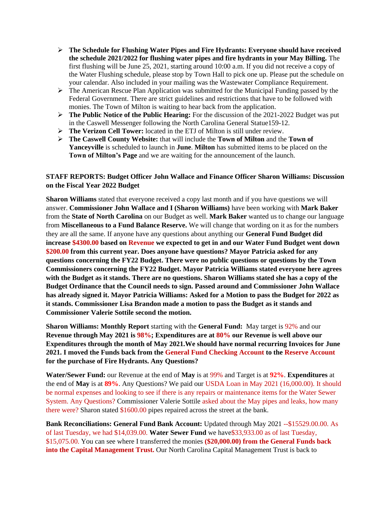- ➢ **The Schedule for Flushing Water Pipes and Fire Hydrants: Everyone should have received the schedule 2021/2022 for flushing water pipes and fire hydrants in your May Billing.** The first flushing will be June 25, 2021, starting around 10:00 a.m. If you did not receive a copy of the Water Flushing schedule, please stop by Town Hall to pick one up. Please put the schedule on your calendar. Also included in your mailing was the Wastewater Compliance Requirement.
- $\triangleright$  The American Rescue Plan Application was submitted for the Municipal Funding passed by the Federal Government. There are strict guidelines and restrictions that have to be followed with monies. The Town of Milton is waiting to hear back from the application.
- ➢ **The Public Notice of the Public Hearing:** For the discussion of the 2021-2022 Budget was put in the Caswell Messenger following the North Carolina General Statue159-12.
- ➢ **The Verizon Cell Tower:** located in the ETJ of Milton is still under review.
- ➢ **The Caswell County Website:** that will include the **Town of Milton** and the **Town of Yanceyville** is scheduled to launch in **June**. **Milton** has submitted items to be placed on the **Town of Milton's Page** and we are waiting for the announcement of the launch.

# **STAFF REPORTS: Budget Officer John Wallace and Finance Officer Sharon Williams: Discussion on the Fiscal Year 2022 Budget**

**Sharon Williams** stated that everyone received a copy last month and if you have questions we will answer. **Commissioner John Wallace and I (Sharon Williams)** have been working with **Mark Baker**  from the **State of North Carolina** on our Budget as well. **Mark Baker** wanted us to change our language from **Miscellaneous to a Fund Balance Reserve.** We will change that wording on it as for the numbers they are all the same. If anyone have any questions about anything our **General Fund Budget did increase \$4300.00 based on Revenue we expected to get in and our Water Fund Budget went down \$200.00 from this current year. Does anyone have questions? Mayor Patricia asked for any questions concerning the FY22 Budget. There were no public questions or questions by the Town Commissioners concerning the FY22 Budget. Mayor Patricia Williams stated everyone here agrees with the Budget as it stands. There are no questions. Sharon Williams stated she has a copy of the Budget Ordinance that the Council needs to sign. Passed around and Commissioner John Wallace has already signed it. Mayor Patricia Williams: Asked for a Motion to pass the Budget for 2022 as it stands. Commissioner Lisa Brandon made a motion to pass the Budget as it stands and Commissioner Valerie Sottile second the motion.** 

**Sharon Williams: Monthly Report** starting with the **General Fund:** May target is 92% and our **Revenue through May 2021 is 98%; Expenditures are at 80% our Revenue is well above our Expenditures through the month of May 2021.We should have normal recurring Invoices for June 2021. I moved the Funds back from the General Fund Checking Account to the Reserve Account for the purchase of Fire Hydrants. Any Questions?**

**Water/Sewer Fund:** our Revenue at the end of **May** is at 99% and Target is at **92%**. **Expenditures** at the end of **May** is at **89%**. Any Questions? We paid our USDA Loan in May 2021 (16,000.00). It should be normal expenses and looking to see if there is any repairs or maintenance items for the Water Sewer System. Any Questions? Commissioner Valerie Sottile asked about the May pipes and leaks, how many there were? Sharon stated \$1600.00 pipes repaired across the street at the bank.

**Bank Reconciliations: General Fund Bank Account:** Updated through May 2021 --\$15529.00.00. As of last Tuesday, we had \$14,039.00. **Water Sewer Fund** we have\$33,933.00 as of last Tuesday, \$15,075.00. You can see where I transferred the monies **(\$20,000.00) from the General Funds back into the Capital Management Trust.** Our North Carolina Capital Management Trust is back to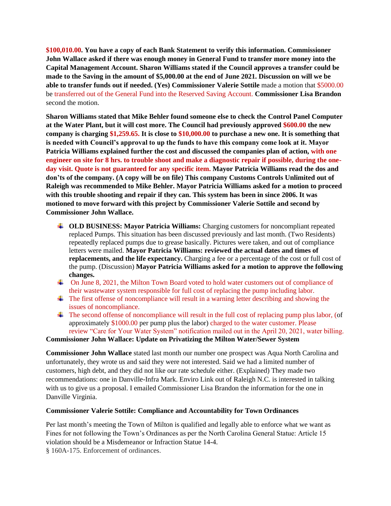**\$100,010.00. You have a copy of each Bank Statement to verify this information. Commissioner John Wallace asked if there was enough money in General Fund to transfer more money into the Capital Management Account. Sharon Williams stated if the Council approves a transfer could be made to the Saving in the amount of \$5,000.00 at the end of June 2021. Discussion on will we be able to transfer funds out if needed. (Yes) Commissioner Valerie Sottile** made a motion that \$5000.00 be transferred out of the General Fund into the Reserved Saving Account. **Commissioner Lisa Brandon** second the motion.

**Sharon Williams stated that Mike Behler found someone else to check the Control Panel Computer at the Water Plant, but it will cost more. The Council had previously approved \$600.00 the new company is charging \$1,259.65. It is close to \$10,000.00 to purchase a new one. It is something that is needed with Council's approval to up the funds to have this company come look at it. Mayor Patricia Williams explained further the cost and discussed the companies plan of action, with one engineer on site for 8 hrs. to trouble shoot and make a diagnostic repair if possible, during the oneday visit. Quote is not guaranteed for any specific item. Mayor Patricia Williams read the dos and don'ts of the company. (A copy will be on file) This company Customs Controls Unlimited out of Raleigh was recommended to Mike Behler. Mayor Patricia Williams asked for a motion to proceed with this trouble shooting and repair if they can. This system has been in since 2006. It was motioned to move forward with this project by Commissioner Valerie Sottile and second by Commissioner John Wallace.**

- **LET BUSINESS: Mayor Patricia Williams:** Charging customers for noncompliant repeated replaced Pumps. This situation has been discussed previously and last month. (Two Residents) repeatedly replaced pumps due to grease basically. Pictures were taken, and out of compliance letters were mailed. **Mayor Patricia Williams: reviewed the actual dates and times of replacements, and the life expectancy.** Charging a fee or a percentage of the cost or full cost of the pump. (Discussion) **Mayor Patricia Williams asked for a motion to approve the following changes.**
- On June 8, 2021, the Milton Town Board voted to hold water customers out of compliance of their wastewater system responsible for full cost of replacing the pump including labor.
- The first offense of noncompliance will result in a warning letter describing and showing the issues of noncompliance.
- $\pm$  The second offense of noncompliance will result in the full cost of replacing pump plus labor, (of approximately \$1000.00 per pump plus the labor) charged to the water customer. Please review "Care for Your Water System" notification mailed out in the April 20, 2021, water billing.

#### **Commissioner John Wallace: Update on Privatizing the Milton Water/Sewer System**

**Commissioner John Wallace** stated last month our number one prospect was Aqua North Carolina and unfortunately, they wrote us and said they were not interested. Said we had a limited number of customers, high debt, and they did not like our rate schedule either. (Explained) They made two recommendations: one in Danville-Infra Mark. Enviro Link out of Raleigh N.C. is interested in talking with us to give us a proposal. I emailed Commissioner Lisa Brandon the information for the one in Danville Virginia.

## **Commissioner Valerie Sottile: Compliance and Accountability for Town Ordinances**

Per last month's meeting the Town of Milton is qualified and legally able to enforce what we want as Fines for not following the Town's Ordinances as per the North Carolina General Statue: Article 15 violation should be a Misdemeanor or Infraction Statue 14-4. § 160A-175. Enforcement of ordinances.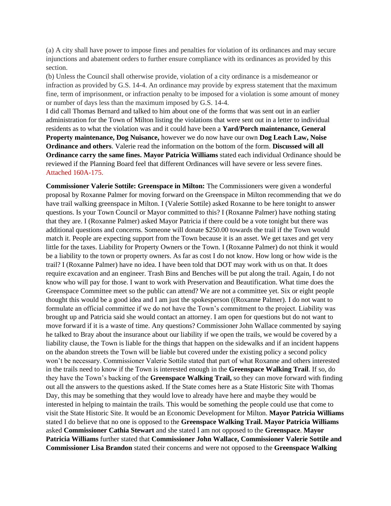(a) A city shall have power to impose fines and penalties for violation of its ordinances and may secure injunctions and abatement orders to further ensure compliance with its ordinances as provided by this section.

(b) Unless the Council shall otherwise provide, violation of a city ordinance is a misdemeanor or infraction as provided by G.S. 14-4. An ordinance may provide by express statement that the maximum fine, term of imprisonment, or infraction penalty to be imposed for a violation is some amount of money or number of days less than the maximum imposed by G.S. 14-4.

I did call Thomas Bernard and talked to him about one of the forms that was sent out in an earlier administration for the Town of Milton listing the violations that were sent out in a letter to individual residents as to what the violation was and it could have been a **Yard/Porch maintenance, General Property maintenance, Dog Nuisance,** however we do now have our own **Dog Leach Law, Noise Ordinance and others**. Valerie read the information on the bottom of the form. **Discussed will all Ordinance carry the same fines. Mayor Patricia Williams** stated each individual Ordinance should be reviewed if the Planning Board feel that different Ordinances will have severe or less severe fines. Attached 160A-175.

**Commissioner Valerie Sottile: Greenspace in Milton:** The Commissioners were given a wonderful proposal by Roxanne Palmer for moving forward on the Greenspace in Milton recommending that we do have trail walking greenspace in Milton. I (Valerie Sottile) asked Roxanne to be here tonight to answer questions. Is your Town Council or Mayor committed to this? I (Roxanne Palmer) have nothing stating that they are. I (Roxanne Palmer) asked Mayor Patricia if there could be a vote tonight but there was additional questions and concerns. Someone will donate \$250.00 towards the trail if the Town would match it. People are expecting support from the Town because it is an asset. We get taxes and get very little for the taxes. Liability for Property Owners or the Town. I (Roxanne Palmer) do not think it would be a liability to the town or property owners. As far as cost I do not know. How long or how wide is the trail? I (Roxanne Palmer) have no idea. I have been told that DOT may work with us on that. It does require excavation and an engineer. Trash Bins and Benches will be put along the trail. Again, I do not know who will pay for those. I want to work with Preservation and Beautification. What time does the Greenspace Committee meet so the public can attend? We are not a committee yet. Six or eight people thought this would be a good idea and I am just the spokesperson ((Roxanne Palmer). I do not want to formulate an official committee if we do not have the Town's commitment to the project. Liability was brought up and Patricia said she would contact an attorney. I am open for questions but do not want to move forward if it is a waste of time. Any questions? Commissioner John Wallace commented by saying he talked to Bray about the insurance about our liability if we open the trails, we would be covered by a liability clause, the Town is liable for the things that happen on the sidewalks and if an incident happens on the abandon streets the Town will be liable but covered under the existing policy a second policy won't be necessary. Commissioner Valerie Sottile stated that part of what Roxanne and others interested in the trails need to know if the Town is interested enough in the **Greenspace Walking Trail**. If so, do they have the Town's backing of the **Greenspace Walking Trail,** so they can move forward with finding out all the answers to the questions asked. If the State comes here as a State Historic Site with Thomas Day, this may be something that they would love to already have here and maybe they would be interested in helping to maintain the trails. This would be something the people could use that come to visit the State Historic Site. It would be an Economic Development for Milton. **Mayor Patricia Williams** stated I do believe that no one is opposed to the **Greenspace Walking Trail. Mayor Patricia Williams** asked **Commissioner Cathia Stewart** and she stated I am not opposed to the **Greenspace**. **Mayor Patricia Williams** further stated that **Commissioner John Wallace, Commissioner Valerie Sottile and Commissioner Lisa Brandon** stated their concerns and were not opposed to the **Greenspace Walking**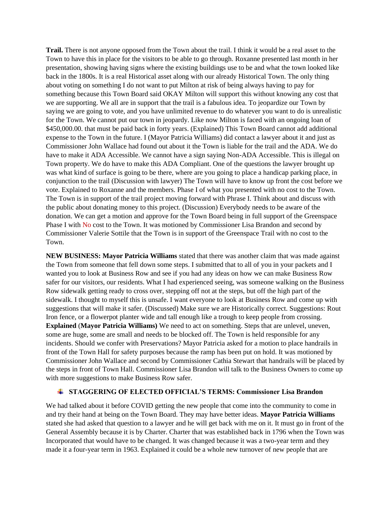**Trail.** There is not anyone opposed from the Town about the trail. I think it would be a real asset to the Town to have this in place for the visitors to be able to go through. Roxanne presented last month in her presentation, showing having signs where the existing buildings use to be and what the town looked like back in the 1800s. It is a real Historical asset along with our already Historical Town. The only thing about voting on something I do not want to put Milton at risk of being always having to pay for something because this Town Board said OKAY Milton will support this without knowing any cost that we are supporting. We all are in support that the trail is a fabulous idea. To jeopardize our Town by saying we are going to vote, and you have unlimited revenue to do whatever you want to do is unrealistic for the Town. We cannot put our town in jeopardy. Like now Milton is faced with an ongoing loan of \$450,000.00. that must be paid back in forty years. (Explained) This Town Board cannot add additional expense to the Town in the future. I (Mayor Patricia Williams) did contact a lawyer about it and just as Commissioner John Wallace had found out about it the Town is liable for the trail and the ADA. We do have to make it ADA Accessible. We cannot have a sign saying Non-ADA Accessible. This is illegal on Town property. We do have to make this ADA Compliant. One of the questions the lawyer brought up was what kind of surface is going to be there, where are you going to place a handicap parking place, in conjunction to the trail (Discussion with lawyer) The Town will have to know up front the cost before we vote. Explained to Roxanne and the members. Phase I of what you presented with no cost to the Town. The Town is in support of the trail project moving forward with Phrase I. Think about and discuss with the public about donating money to this project. (Discussion) Everybody needs to be aware of the donation. We can get a motion and approve for the Town Board being in full support of the Greenspace Phase I with No cost to the Town. It was motioned by Commissioner Lisa Brandon and second by Commissioner Valerie Sottile that the Town is in support of the Greenspace Trail with no cost to the Town.

**NEW BUSINESS: Mayor Patricia Williams** stated that there was another claim that was made against the Town from someone that fell down some steps. I submitted that to all of you in your packets and I wanted you to look at Business Row and see if you had any ideas on how we can make Business Row safer for our visitors, our residents. What I had experienced seeing, was someone walking on the Business Row sidewalk getting ready to cross over, stepping off not at the steps, but off the high part of the sidewalk. I thought to myself this is unsafe. I want everyone to look at Business Row and come up with suggestions that will make it safer. (Discussed) Make sure we are Historically correct. Suggestions: Rout Iron fence, or a flowerpot planter wide and tall enough like a trough to keep people from crossing. **Explained** (**Mayor Patricia Williams)** We need to act on something. Steps that are unlevel, uneven, some are huge, some are small and needs to be blocked off. The Town is held responsible for any incidents. Should we confer with Preservations? Mayor Patricia asked for a motion to place handrails in front of the Town Hall for safety purposes because the ramp has been put on hold. It was motioned by Commissioner John Wallace and second by Commissioner Cathia Stewart that handrails will be placed by the steps in front of Town Hall. Commissioner Lisa Brandon will talk to the Business Owners to come up with more suggestions to make Business Row safer.

## **STAGGERING OF ELECTED OFFICIAL'S TERMS: Commissioner Lisa Brandon**

We had talked about it before COVID getting the new people that come into the community to come in and try their hand at being on the Town Board. They may have better ideas. **Mayor Patricia Williams**  stated she had asked that question to a lawyer and he will get back with me on it. It must go in front of the General Assembly because it is by Charter. Charter that was established back in 1796 when the Town was Incorporated that would have to be changed. It was changed because it was a two-year term and they made it a four-year term in 1963. Explained it could be a whole new turnover of new people that are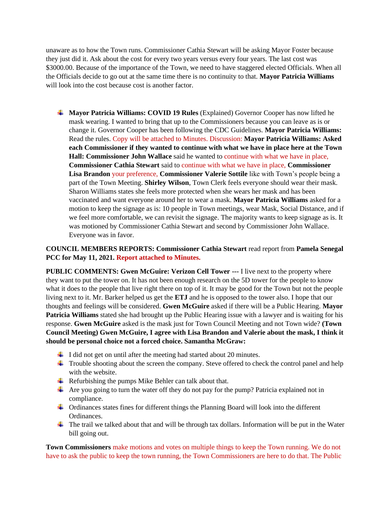unaware as to how the Town runs. Commissioner Cathia Stewart will be asking Mayor Foster because they just did it. Ask about the cost for every two years versus every four years. The last cost was \$3000.00. Because of the importance of the Town, we need to have staggered elected Officials. When all the Officials decide to go out at the same time there is no continuity to that. **Mayor Patricia Williams**  will look into the cost because cost is another factor.

**Mayor Patricia Williams: COVID 19 Rules** (Explained) Governor Cooper has now lifted he mask wearing. I wanted to bring that up to the Commissioners because you can leave as is or change it. Governor Cooper has been following the CDC Guidelines. **Mayor Patricia Williams:** Read the rules. Copy will be attached to Minutes. Discussion: **Mayor Patricia Williams: Asked each Commissioner if they wanted to continue with what we have in place here at the Town Hall: Commissioner John Wallace** said he wanted to continue with what we have in place, **Commissioner Cathia Stewart** said to continue with what we have in place, **Commissioner Lisa Brandon** your preference, **Commissioner Valerie Sottile** like with Town's people being a part of the Town Meeting. **Shirley Wilson**, Town Clerk feels everyone should wear their mask. Sharon Williams states she feels more protected when she wears her mask and has been vaccinated and want everyone around her to wear a mask. **Mayor Patricia Williams** asked for a motion to keep the signage as is: 10 people in Town meetings, wear Mask, Social Distance, and if we feel more comfortable, we can revisit the signage. The majority wants to keep signage as is. It was motioned by Commissioner Cathia Stewart and second by Commissioner John Wallace. Everyone was in favor.

# **COUNCIL MEMBERS REPORTS: Commissioner Cathia Stewart** read report from **Pamela Senegal PCC for May 11, 2021. Report attached to Minutes.**

**PUBLIC COMMENTS: Gwen McGuire: Verizon Cell Tower ---** I live next to the property where they want to put the tower on. It has not been enough research on the 5D tower for the people to know what it does to the people that live right there on top of it. It may be good for the Town but not the people living next to it. Mr. Barker helped us get the **ETJ** and he is opposed to the tower also. I hope that our thoughts and feelings will be considered. **Gwen McGuire** asked if there will be a Public Hearing. **Mayor Patricia Williams** stated she had brought up the Public Hearing issue with a lawyer and is waiting for his response. **Gwen McGuire** asked is the mask just for Town Council Meeting and not Town wide? **(Town Council Meeting) Gwen McGuire, I agree with Lisa Brandon and Valerie about the mask, I think it should be personal choice not a forced choice. Samantha McGraw:** 

- $\ddot{\phantom{1}}$  I did not get on until after the meeting had started about 20 minutes.
- $\ddot{\bullet}$  Trouble shooting about the screen the company. Steve offered to check the control panel and help with the website.
- $\overline{\text{H}}$  Refurbishing the pumps Mike Behler can talk about that.
- $\overline{\text{4}}$  Are you going to turn the water off they do not pay for the pump? Patricia explained not in compliance.
- Ordinances states fines for different things the Planning Board will look into the different Ordinances.
- $\ddot{\phantom{a}}$  The trail we talked about that and will be through tax dollars. Information will be put in the Water bill going out.

**Town Commissioners** make motions and votes on multiple things to keep the Town running. We do not have to ask the public to keep the town running, the Town Commissioners are here to do that. The Public